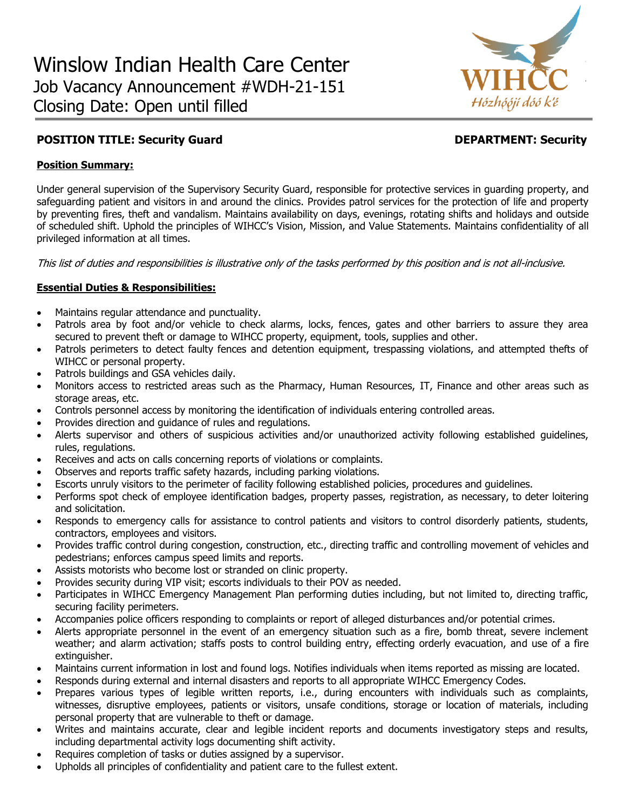

# **POSITION TITLE: Security Guard Community Community Community Community Community Community Community Community**

# **Position Summary:**

Under general supervision of the Supervisory Security Guard, responsible for protective services in guarding property, and safeguarding patient and visitors in and around the clinics. Provides patrol services for the protection of life and property by preventing fires, theft and vandalism. Maintains availability on days, evenings, rotating shifts and holidays and outside of scheduled shift. Uphold the principles of WIHCC's Vision, Mission, and Value Statements. Maintains confidentiality of all privileged information at all times.

This list of duties and responsibilities is illustrative only of the tasks performed by this position and is not all-inclusive.

# **Essential Duties & Responsibilities:**

- Maintains regular attendance and punctuality.
- Patrols area by foot and/or vehicle to check alarms, locks, fences, gates and other barriers to assure they area secured to prevent theft or damage to WIHCC property, equipment, tools, supplies and other.
- Patrols perimeters to detect faulty fences and detention equipment, trespassing violations, and attempted thefts of WIHCC or personal property.
- Patrols buildings and GSA vehicles daily.
- Monitors access to restricted areas such as the Pharmacy, Human Resources, IT, Finance and other areas such as storage areas, etc.
- Controls personnel access by monitoring the identification of individuals entering controlled areas.
- Provides direction and guidance of rules and regulations.
- Alerts supervisor and others of suspicious activities and/or unauthorized activity following established guidelines, rules, regulations.
- Receives and acts on calls concerning reports of violations or complaints.
- Observes and reports traffic safety hazards, including parking violations.
- Escorts unruly visitors to the perimeter of facility following established policies, procedures and guidelines.
- Performs spot check of employee identification badges, property passes, registration, as necessary, to deter loitering and solicitation.
- Responds to emergency calls for assistance to control patients and visitors to control disorderly patients, students, contractors, employees and visitors.
- Provides traffic control during congestion, construction, etc., directing traffic and controlling movement of vehicles and pedestrians; enforces campus speed limits and reports.
- Assists motorists who become lost or stranded on clinic property.
- Provides security during VIP visit; escorts individuals to their POV as needed.
- Participates in WIHCC Emergency Management Plan performing duties including, but not limited to, directing traffic, securing facility perimeters.
- Accompanies police officers responding to complaints or report of alleged disturbances and/or potential crimes.
- Alerts appropriate personnel in the event of an emergency situation such as a fire, bomb threat, severe inclement weather; and alarm activation; staffs posts to control building entry, effecting orderly evacuation, and use of a fire extinguisher.
- Maintains current information in lost and found logs. Notifies individuals when items reported as missing are located.
- Responds during external and internal disasters and reports to all appropriate WIHCC Emergency Codes.
- Prepares various types of legible written reports, i.e., during encounters with individuals such as complaints, witnesses, disruptive employees, patients or visitors, unsafe conditions, storage or location of materials, including personal property that are vulnerable to theft or damage.
- Writes and maintains accurate, clear and legible incident reports and documents investigatory steps and results, including departmental activity logs documenting shift activity.
- Requires completion of tasks or duties assigned by a supervisor.
- Upholds all principles of confidentiality and patient care to the fullest extent.